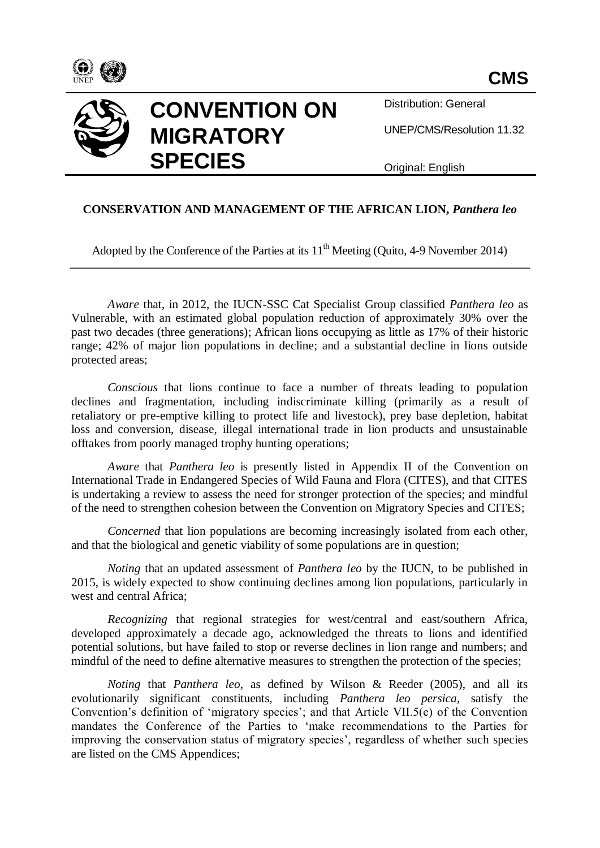



Distribution: General

UNEP/CMS/Resolution 11.32

Original: English

## **CONSERVATION AND MANAGEMENT OF THE AFRICAN LION,** *Panthera leo*

Adopted by the Conference of the Parties at its  $11<sup>th</sup>$  Meeting (Quito, 4-9 November 2014)

*Aware* that, in 2012, the IUCN-SSC Cat Specialist Group classified *Panthera leo* as Vulnerable, with an estimated global population reduction of approximately 30% over the past two decades (three generations); African lions occupying as little as 17% of their historic range; 42% of major lion populations in decline; and a substantial decline in lions outside protected areas;

*Conscious* that lions continue to face a number of threats leading to population declines and fragmentation, including indiscriminate killing (primarily as a result of retaliatory or pre-emptive killing to protect life and livestock), prey base depletion, habitat loss and conversion, disease, illegal international trade in lion products and unsustainable offtakes from poorly managed trophy hunting operations;

*Aware* that *Panthera leo* is presently listed in Appendix II of the Convention on International Trade in Endangered Species of Wild Fauna and Flora (CITES), and that CITES is undertaking a review to assess the need for stronger protection of the species; and mindful of the need to strengthen cohesion between the Convention on Migratory Species and CITES;

*Concerned* that lion populations are becoming increasingly isolated from each other, and that the biological and genetic viability of some populations are in question;

*Noting* that an updated assessment of *Panthera leo* by the IUCN, to be published in 2015, is widely expected to show continuing declines among lion populations, particularly in west and central Africa;

*Recognizing* that regional strategies for west/central and east/southern Africa, developed approximately a decade ago, acknowledged the threats to lions and identified potential solutions, but have failed to stop or reverse declines in lion range and numbers; and mindful of the need to define alternative measures to strengthen the protection of the species;

*Noting* that *Panthera leo*, as defined by Wilson & Reeder (2005), and all its evolutionarily significant constituents, including *Panthera leo persica*, satisfy the Convention's definition of 'migratory species'; and that Article VII.5(e) of the Convention mandates the Conference of the Parties to 'make recommendations to the Parties for improving the conservation status of migratory species', regardless of whether such species are listed on the CMS Appendices;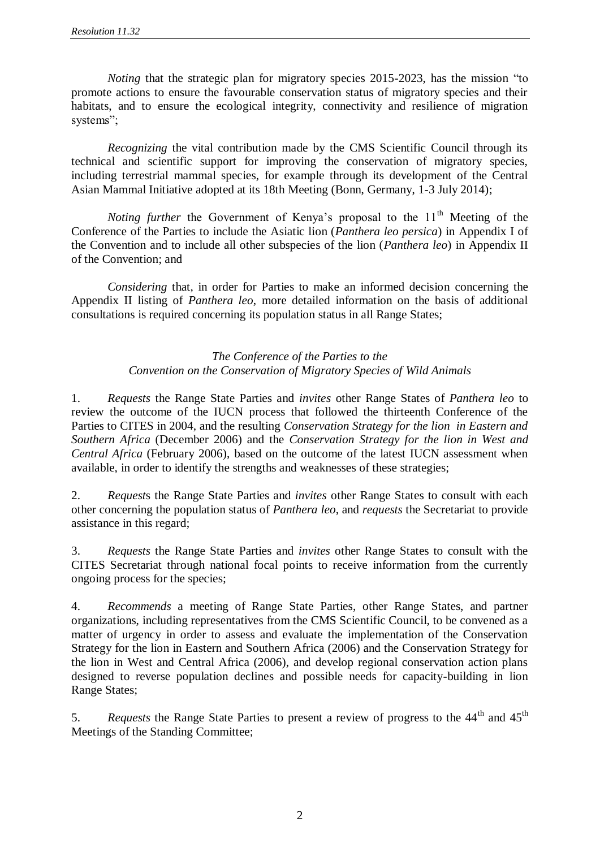*Noting* that the strategic plan for migratory species 2015-2023, has the mission "to promote actions to ensure the favourable conservation status of migratory species and their habitats, and to ensure the ecological integrity, connectivity and resilience of migration systems";

*Recognizing* the vital contribution made by the CMS Scientific Council through its technical and scientific support for improving the conservation of migratory species, including terrestrial mammal species, for example through its development of the Central Asian Mammal Initiative adopted at its 18th Meeting (Bonn, Germany, 1-3 July 2014);

*Noting further* the Government of Kenya's proposal to the  $11<sup>th</sup>$  Meeting of the Conference of the Parties to include the Asiatic lion (*Panthera leo persica*) in Appendix I of the Convention and to include all other subspecies of the lion (*Panthera leo*) in Appendix II of the Convention; and

*Considering* that, in order for Parties to make an informed decision concerning the Appendix II listing of *Panthera leo*, more detailed information on the basis of additional consultations is required concerning its population status in all Range States;

## *The Conference of the Parties to the Convention on the Conservation of Migratory Species of Wild Animals*

1. *Requests* the Range State Parties and *invites* other Range States of *Panthera leo* to review the outcome of the IUCN process that followed the thirteenth Conference of the Parties to CITES in 2004, and the resulting *Conservation Strategy for the lion in Eastern and Southern Africa* (December 2006) and the *Conservation Strategy for the lion in West and Central Africa* (February 2006), based on the outcome of the latest IUCN assessment when available, in order to identify the strengths and weaknesses of these strategies;

2. *Request*s the Range State Parties and *invites* other Range States to consult with each other concerning the population status of *Panthera leo*, and *requests* the Secretariat to provide assistance in this regard;

3. *Requests* the Range State Parties and *invites* other Range States to consult with the CITES Secretariat through national focal points to receive information from the currently ongoing process for the species;

4. *Recommends* a meeting of Range State Parties, other Range States, and partner organizations, including representatives from the CMS Scientific Council, to be convened as a matter of urgency in order to assess and evaluate the implementation of the Conservation Strategy for the lion in Eastern and Southern Africa (2006) and the Conservation Strategy for the lion in West and Central Africa (2006), and develop regional conservation action plans designed to reverse population declines and possible needs for capacity-building in lion Range States;

5. *Requests* the Range State Parties to present a review of progress to the 44<sup>th</sup> and 45<sup>th</sup> Meetings of the Standing Committee;